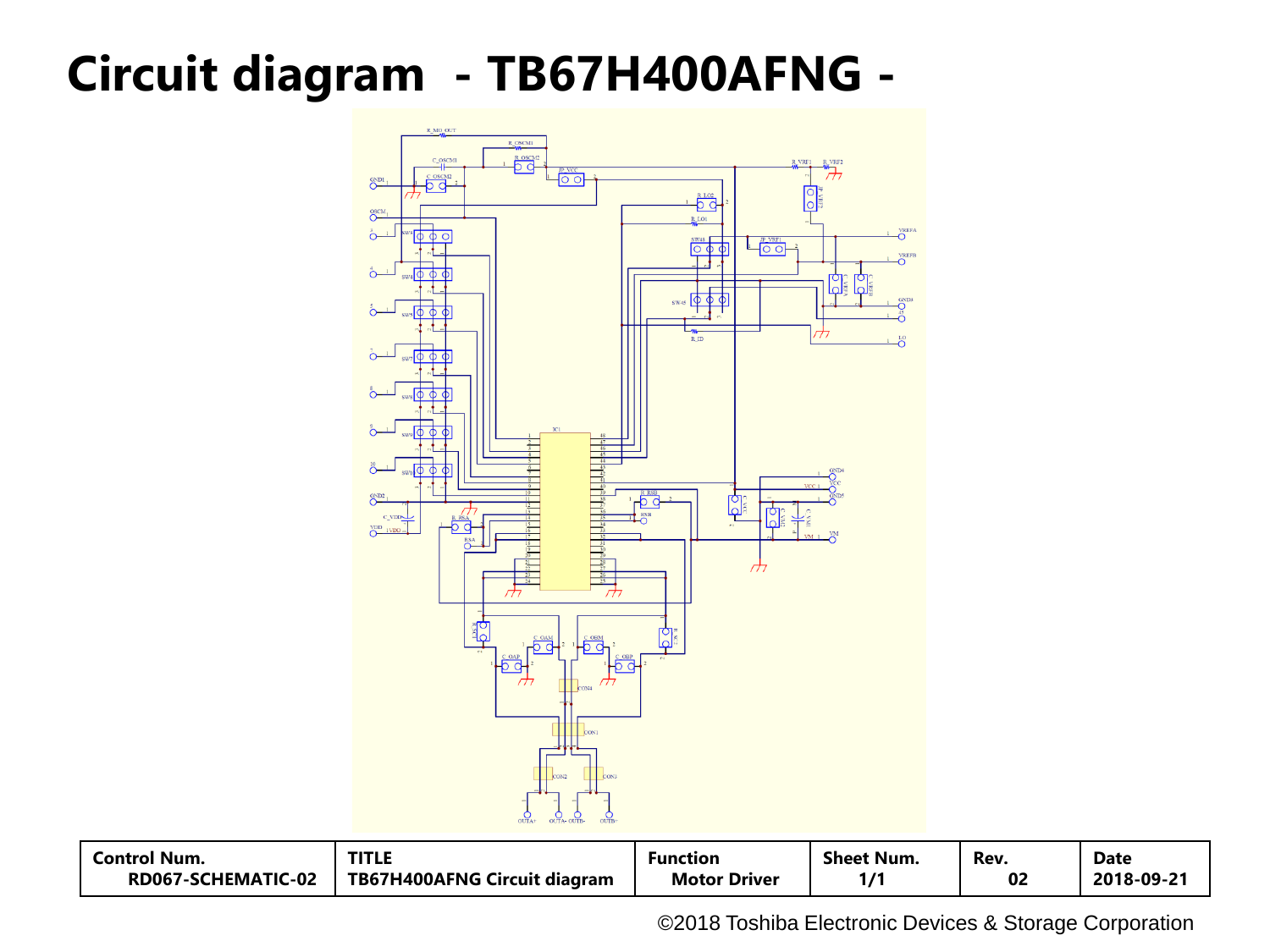# **Circuit diagram - TB67H400AFNG -**



| <b>Control Num.</b> | TITLE                               | Function            | Sheet Num. | Rev. | <b>Date</b> |
|---------------------|-------------------------------------|---------------------|------------|------|-------------|
| RD067-SCHEMATIC-02  | <b>TB67H400AFNG Circuit diagram</b> | <b>Motor Driver</b> |            | 02   | 2018-09-21  |

©2018 Toshiba Electronic Devices & Storage Corporation